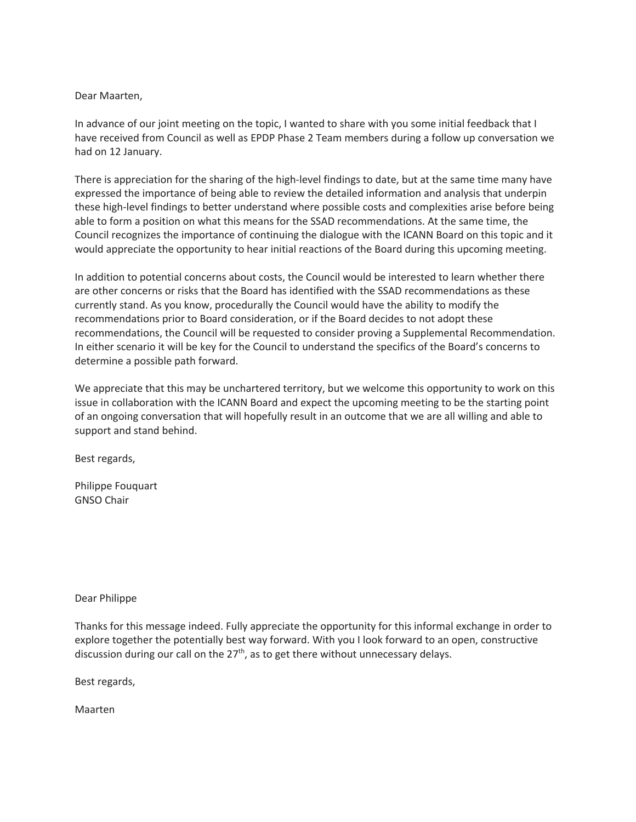## Dear Maarten,

In advance of our joint meeting on the topic, I wanted to share with you some initial feedback that I have received from Council as well as EPDP Phase 2 Team members during a follow up conversation we had on 12 January.

There is appreciation for the sharing of the high-level findings to date, but at the same time many have expressed the importance of being able to review the detailed information and analysis that underpin these high-level findings to better understand where possible costs and complexities arise before being able to form a position on what this means for the SSAD recommendations. At the same time, the Council recognizes the importance of continuing the dialogue with the ICANN Board on this topic and it would appreciate the opportunity to hear initial reactions of the Board during this upcoming meeting.

In addition to potential concerns about costs, the Council would be interested to learn whether there are other concerns or risks that the Board has identified with the SSAD recommendations as these currently stand. As you know, procedurally the Council would have the ability to modify the recommendations prior to Board consideration, or if the Board decides to not adopt these recommendations, the Council will be requested to consider proving a Supplemental Recommendation. In either scenario it will be key for the Council to understand the specifics of the Board's concerns to determine a possible path forward.

We appreciate that this may be unchartered territory, but we welcome this opportunity to work on this issue in collaboration with the ICANN Board and expect the upcoming meeting to be the starting point of an ongoing conversation that will hopefully result in an outcome that we are all willing and able to support and stand behind.

Best regards,

Philippe Fouquart GNSO Chair

## Dear Philippe

Thanks for this message indeed. Fully appreciate the opportunity for this informal exchange in order to explore together the potentially best way forward. With you I look forward to an open, constructive discussion during our call on the  $27<sup>th</sup>$ , as to get there without unnecessary delays.

Best regards,

Maarten